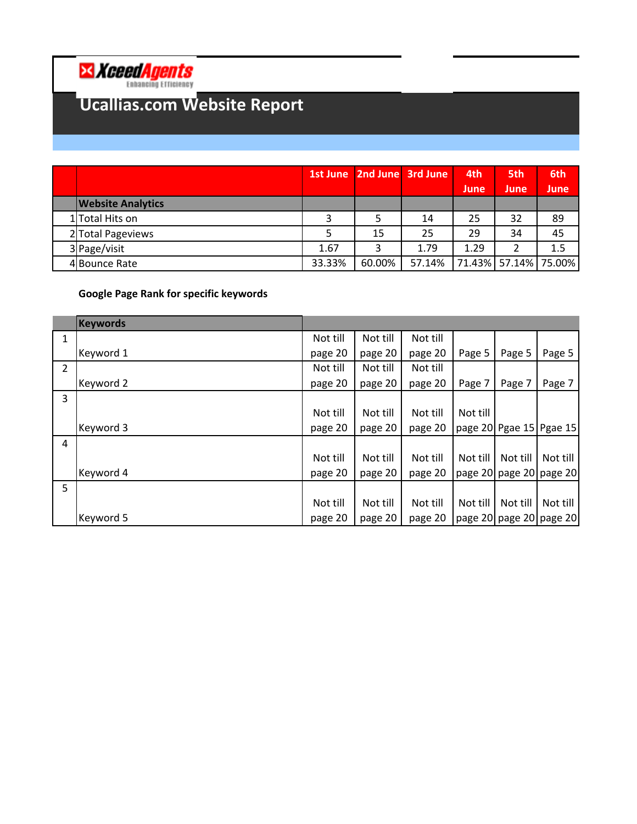

## **Ucallias.com Website Report**

|                          |        | 1st June 2nd June 3rd June |        | 4th         | 5th                  | 6th  |
|--------------------------|--------|----------------------------|--------|-------------|----------------------|------|
|                          |        |                            |        | <b>June</b> | <b>June</b>          | June |
| <b>Website Analytics</b> |        |                            |        |             |                      |      |
| 1 Total Hits on          |        |                            | 14     | 25          | 32                   | 89   |
| 2 Total Pageviews        |        | 15                         | 25     | 29          | 34                   | 45   |
| 3 Page/visit             | 1.67   |                            | 1.79   | 1.29        | 2                    | 1.5  |
| 4 Bounce Rate            | 33.33% | 60.00%                     | 57.14% |             | 71.43% 57.14% 75.00% |      |

## **Google Page Rank for specific keywords**

|   | <b>Keywords</b> |          |          |          |          |          |                         |
|---|-----------------|----------|----------|----------|----------|----------|-------------------------|
| 1 |                 | Not till | Not till | Not till |          |          |                         |
|   | Keyword 1       | page 20  | page 20  | page 20  | Page 5   | Page 5   | Page 5                  |
| 2 |                 | Not till | Not till | Not till |          |          |                         |
|   | Keyword 2       | page 20  | page 20  | page 20  | Page 7   | Page 7   | Page 7                  |
| 3 |                 |          |          |          |          |          |                         |
|   |                 | Not till | Not till | Not till | Not till |          |                         |
|   | Keyword 3       | page 20  | page 20  | page 20  |          |          | page 20 Pgae 15 Pgae 15 |
| 4 |                 |          |          |          |          |          |                         |
|   |                 | Not till | Not till | Not till | Not till | Not till | Not till                |
|   | Keyword 4       | page 20  | page 20  | page 20  |          |          | page 20 page 20 page 20 |
| 5 |                 |          |          |          |          |          |                         |
|   |                 | Not till | Not till | Not till | Not till | Not till | Not till                |
|   | Keyword 5       | page 20  | page 20  | page 20  |          |          | page 20 page 20 page 20 |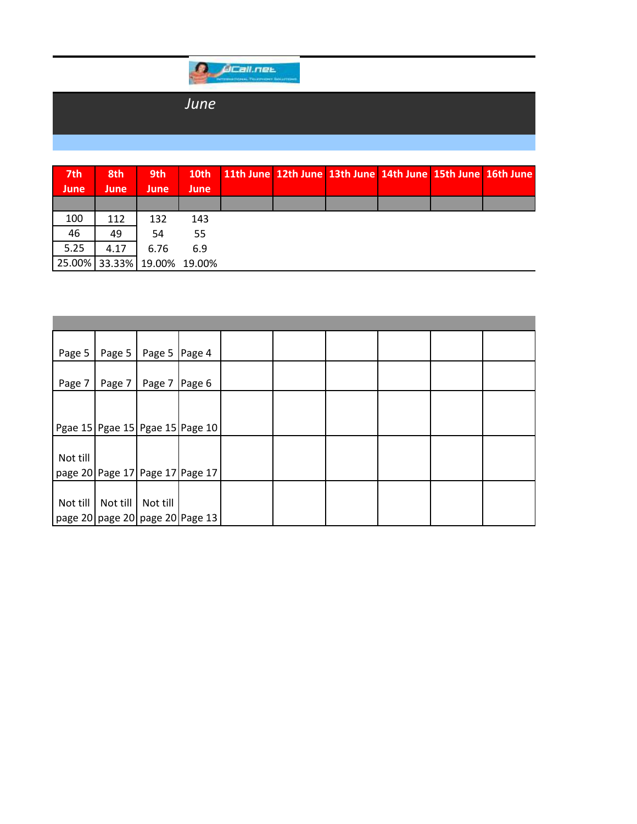

## *June*

| 7th<br><b>June</b> | 8th<br>June   | 9th<br>June   | 10th<br><b>June</b> |  |  | 11th June 12th June 13th June 14th June 15th June 16th June |
|--------------------|---------------|---------------|---------------------|--|--|-------------------------------------------------------------|
|                    |               |               |                     |  |  |                                                             |
| 100                | 112           | 132           | 143                 |  |  |                                                             |
| 46                 | 49            | 54            | 55                  |  |  |                                                             |
| 5.25               | 4.17          | 6.76          | 6.9                 |  |  |                                                             |
|                    | 25.00% 33.33% | 19.00% 19.00% |                     |  |  |                                                             |

| Page 5   | Page 5   | Page 5 Page 4 |                                 |  |  |  |
|----------|----------|---------------|---------------------------------|--|--|--|
| Page 7   | Page 7   | Page 7        | Page 6                          |  |  |  |
|          |          |               |                                 |  |  |  |
|          |          |               |                                 |  |  |  |
|          |          |               | Pgae 15 Pgae 15 Pgae 15 Page 10 |  |  |  |
|          |          |               |                                 |  |  |  |
| Not till |          |               |                                 |  |  |  |
|          |          |               | page 20 Page 17 Page 17 Page 17 |  |  |  |
|          |          |               |                                 |  |  |  |
| Not till | Not till | Not till      |                                 |  |  |  |
|          |          |               | page 20 page 20 page 20 Page 13 |  |  |  |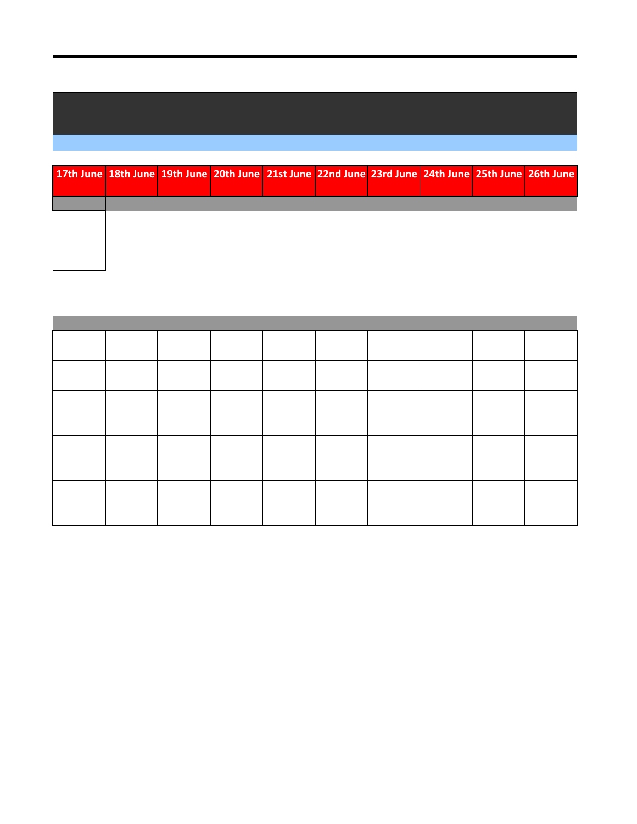## **17th June 18th June 19th June 20th June 21st June 22nd June 23rd June 24th June 25th June 26th June**